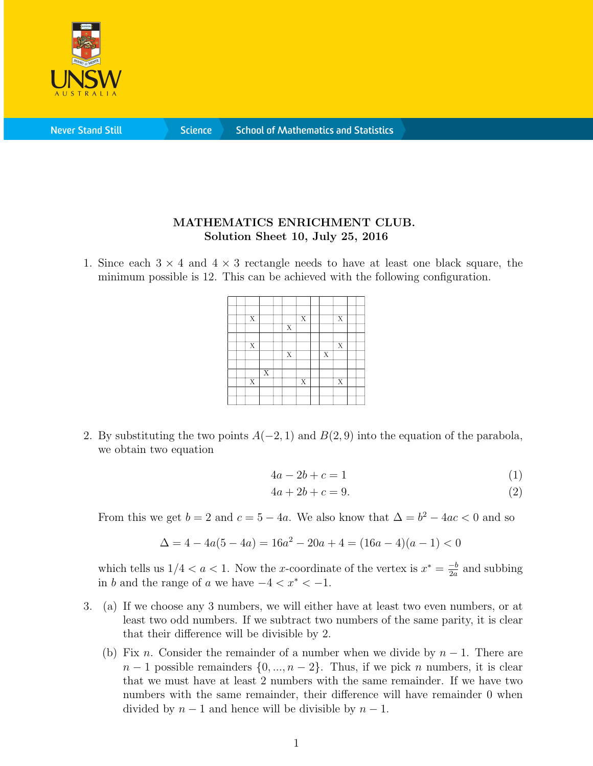

**Never Stand Still** 

**Science** 

## MATHEMATICS ENRICHMENT CLUB. Solution Sheet 10, July 25, 2016

1. Since each  $3 \times 4$  and  $4 \times 3$  rectangle needs to have at least one black square, the minimum possible is 12. This can be achieved with the following configuration.

|  | X                       |                |                         | X                     |                         | X                       |  |
|--|-------------------------|----------------|-------------------------|-----------------------|-------------------------|-------------------------|--|
|  |                         |                | $\overline{\mathbf{X}}$ |                       |                         |                         |  |
|  |                         |                |                         |                       |                         |                         |  |
|  | $\overline{X}$          |                |                         |                       |                         | $\overline{X}$          |  |
|  |                         |                | $\overline{X}$          |                       | $\overline{\mathbf{X}}$ |                         |  |
|  |                         |                |                         |                       |                         |                         |  |
|  |                         | $\overline{X}$ |                         |                       |                         |                         |  |
|  | $\overline{\mathbf{x}}$ |                |                         | $\overline{\text{X}}$ |                         | $\overline{\mathbf{X}}$ |  |
|  |                         |                |                         |                       |                         |                         |  |
|  |                         |                |                         |                       |                         |                         |  |
|  |                         |                |                         |                       |                         |                         |  |

2. By substituting the two points  $A(-2, 1)$  and  $B(2, 9)$  into the equation of the parabola, we obtain two equation

$$
4a - 2b + c = 1\tag{1}
$$

$$
4a + 2b + c = 9.\t\t(2)
$$

From this we get  $b = 2$  and  $c = 5 - 4a$ . We also know that  $\Delta = b^2 - 4ac < 0$  and so

$$
\Delta = 4 - 4a(5 - 4a) = 16a^2 - 20a + 4 = (16a - 4)(a - 1) < 0
$$

which tells us  $1/4 < a < 1$ . Now the x-coordinate of the vertex is  $x^* = \frac{-b}{2a}$  $\frac{-b}{2a}$  and subbing in b and the range of a we have  $-4 < x^* < -1$ .

- 3. (a) If we choose any 3 numbers, we will either have at least two even numbers, or at least two odd numbers. If we subtract two numbers of the same parity, it is clear that their difference will be divisible by 2.
	- (b) Fix n. Consider the remainder of a number when we divide by  $n-1$ . There are  $n-1$  possible remainders  $\{0, ..., n-2\}$ . Thus, if we pick n numbers, it is clear that we must have at least 2 numbers with the same remainder. If we have two numbers with the same remainder, their difference will have remainder 0 when divided by  $n-1$  and hence will be divisible by  $n-1$ .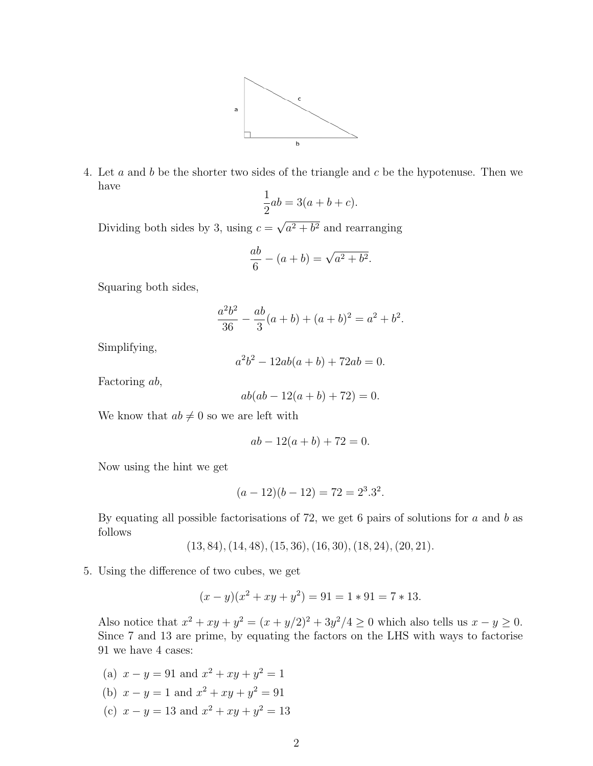

4. Let a and b be the shorter two sides of the triangle and c be the hypotenuse. Then we have

$$
\frac{1}{2}ab = 3(a+b+c).
$$

Dividing both sides by 3, using  $c =$  $a^2 + b^2$  and rearranging

$$
\frac{ab}{6} - (a+b) = \sqrt{a^2 + b^2}.
$$

Squaring both sides,

$$
\frac{a^2b^2}{36} - \frac{ab}{3}(a+b) + (a+b)^2 = a^2 + b^2.
$$

Simplifying,

$$
a^2b^2 - 12ab(a+b) + 72ab = 0.
$$

Factoring ab,

$$
ab(ab - 12(a + b) + 72) = 0.
$$

We know that  $ab \neq 0$  so we are left with

$$
ab - 12(a + b) + 72 = 0.
$$

Now using the hint we get

$$
(a-12)(b-12) = 72 = 2^3 \cdot 3^2.
$$

By equating all possible factorisations of 72, we get 6 pairs of solutions for a and b as follows

- $(13, 84), (14, 48), (15, 36), (16, 30), (18, 24), (20, 21).$
- 5. Using the difference of two cubes, we get

$$
(x - y)(x2 + xy + y2) = 91 = 1 * 91 = 7 * 13.
$$

Also notice that  $x^2 + xy + y^2 = (x + y/2)^2 + 3y^2/4 \ge 0$  which also tells us  $x - y \ge 0$ . Since 7 and 13 are prime, by equating the factors on the LHS with ways to factorise 91 we have 4 cases:

(a)  $x - y = 91$  and  $x^2 + xy + y^2 = 1$ (b)  $x - y = 1$  and  $x^2 + xy + y^2 = 91$ (c)  $x - y = 13$  and  $x^2 + xy + y^2 = 13$